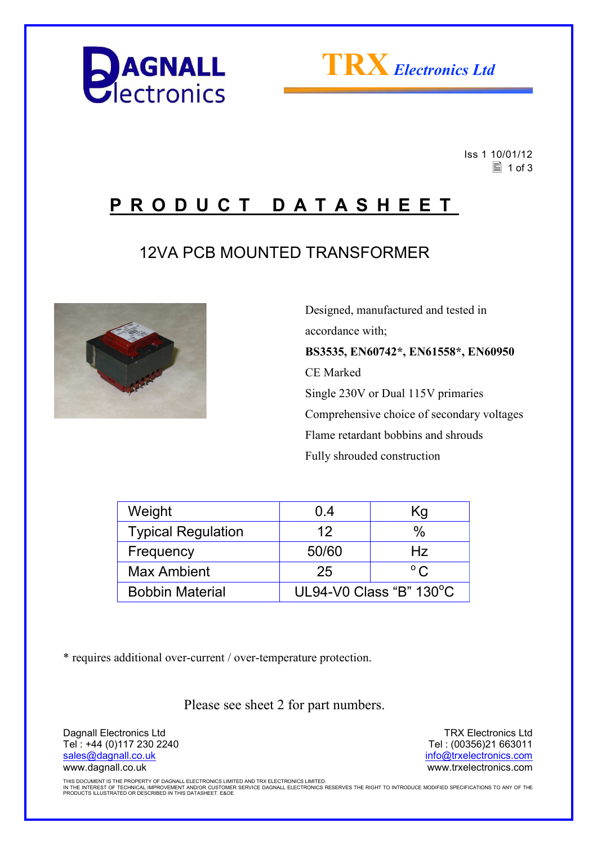



 Iss 1 10/01/12  $\equiv$  1 of 3

## **P R O D U C T D A T A S H E E T**

## 12VA PCB MOUNTED TRANSFORMER



 Designed, manufactured and tested in accordance with; **BS3535, EN60742\*, EN61558\*, EN60950**  CE Marked Single 230V or Dual 115V primaries Comprehensive choice of secondary voltages Flame retardant bobbins and shrouds Fully shrouded construction

| Weight                    | 0.4                     | Κg           |  |
|---------------------------|-------------------------|--------------|--|
| <b>Typical Regulation</b> | 12                      | %            |  |
| Frequency                 | 50/60                   | Hz           |  |
| <b>Max Ambient</b>        | 25                      | $^{\circ}$ C |  |
| <b>Bobbin Material</b>    | UL94-V0 Class "B" 130°C |              |  |

\* requires additional over-current / over-temperature protection.

Please see sheet 2 for part numbers.

Dagnall Electronics Ltd Tel : +44 (0)117 230 2240 sales@dagnall.co.uk www.dagnall.co.uk

TRX Electronics Ltd Tel : (00356)21 663011 info@trxelectronics.com www.trxelectronics.com

THIS DOCUMENT IS THE PROPERTY OF DAGNALL ELECTRONICS LIMITED AND TRX ELECTRONICS LIMITED.<br>IN THE INTEREST OF TECHNICAL IMPROVEMENT AND/OR CUSTOMER SERVICE DAGNALL ELECTRONICS RESERVES THE RIGHT TO INTRODUCE MODIFIED SPECIF PRODUCTS ILLUSTRATED OR DESCRIBED IN THIS DATASHEET. E&OE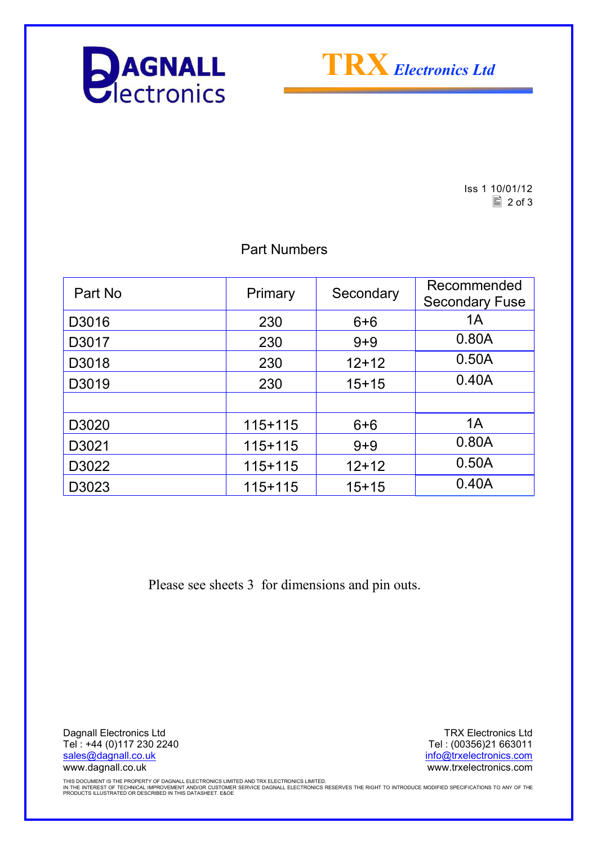



Iss 1 10/01/12  $\boxed{2}$  of 3

### Part Numbers

| Part No | Primary     | Secondary | Recommended<br><b>Secondary Fuse</b> |
|---------|-------------|-----------|--------------------------------------|
| D3016   | 230         | $6 + 6$   | 1A                                   |
| D3017   | 230         | $9 + 9$   | 0.80A                                |
| D3018   | 230         | $12+12$   | 0.50A                                |
| D3019   | 230         | $15+15$   | 0.40A                                |
|         |             |           |                                      |
| D3020   | $115+115$   | $6 + 6$   | 1A                                   |
| D3021   | $115+115$   | $9 + 9$   | 0.80A                                |
| D3022   | $115 + 115$ | $12+12$   | 0.50A                                |
| D3023   | $115+115$   | $15+15$   | 0.40A                                |

Please see sheets 3 for dimensions and pin outs.

Dagnall Electronics Ltd Tel : +44 (0)117 230 2240 sales@dagnall.co.uk www.dagnall.co.uk

TRX Electronics Ltd Tel : (00356)21 663011 info@trxelectronics.com www.trxelectronics.com

THIS DOCUMENT IS THE PROPERTY OF DAGNALL ELECTRONICS LIMITED AND TRX ELECTRONICS LIMITED.<br>IN THE INTEREST OF TECHNICAL IMPROVEMENT AND/OR CUSTOMER SERVICE DAGNALL ELECTRONICS RESERVES THE RIGHT TO INTRODUCE MODIFIED SPECIF